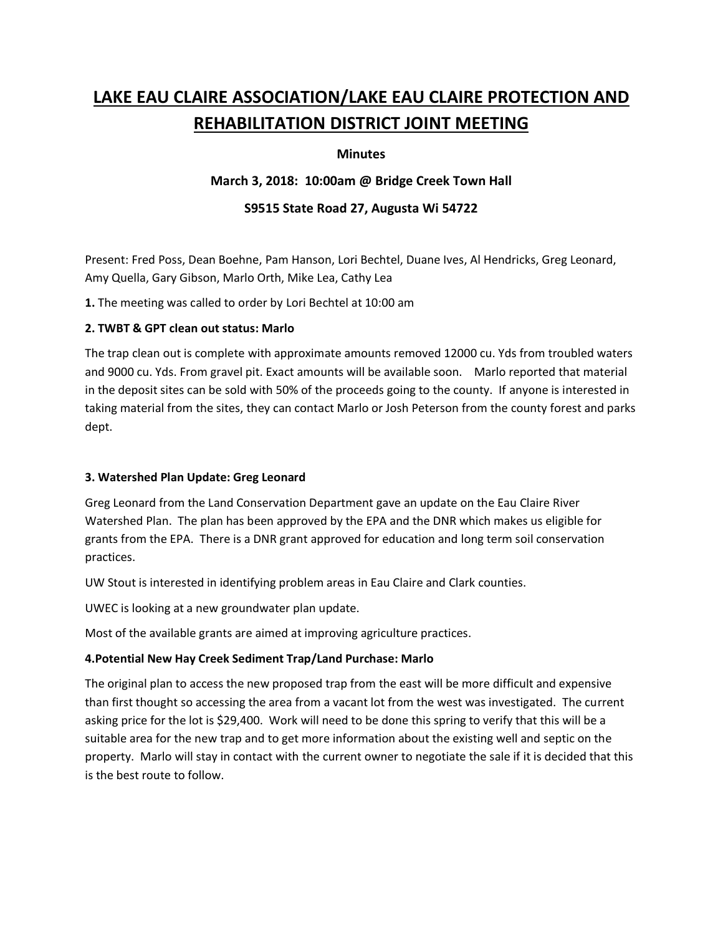# **LAKE EAU CLAIRE ASSOCIATION/LAKE EAU CLAIRE PROTECTION AND REHABILITATION DISTRICT JOINT MEETING**

## **Minutes**

## **March 3, 2018: 10:00am @ Bridge Creek Town Hall**

## **S9515 State Road 27, Augusta Wi 54722**

Present: Fred Poss, Dean Boehne, Pam Hanson, Lori Bechtel, Duane Ives, Al Hendricks, Greg Leonard, Amy Quella, Gary Gibson, Marlo Orth, Mike Lea, Cathy Lea

**1.** The meeting was called to order by Lori Bechtel at 10:00 am

## **2. TWBT & GPT clean out status: Marlo**

The trap clean out is complete with approximate amounts removed 12000 cu. Yds from troubled waters and 9000 cu. Yds. From gravel pit. Exact amounts will be available soon. Marlo reported that material in the deposit sites can be sold with 50% of the proceeds going to the county. If anyone is interested in taking material from the sites, they can contact Marlo or Josh Peterson from the county forest and parks dept.

## **3. Watershed Plan Update: Greg Leonard**

Greg Leonard from the Land Conservation Department gave an update on the Eau Claire River Watershed Plan. The plan has been approved by the EPA and the DNR which makes us eligible for grants from the EPA. There is a DNR grant approved for education and long term soil conservation practices.

UW Stout is interested in identifying problem areas in Eau Claire and Clark counties.

UWEC is looking at a new groundwater plan update.

Most of the available grants are aimed at improving agriculture practices.

# **4.Potential New Hay Creek Sediment Trap/Land Purchase: Marlo**

The original plan to access the new proposed trap from the east will be more difficult and expensive than first thought so accessing the area from a vacant lot from the west was investigated. The current asking price for the lot is \$29,400. Work will need to be done this spring to verify that this will be a suitable area for the new trap and to get more information about the existing well and septic on the property. Marlo will stay in contact with the current owner to negotiate the sale if it is decided that this is the best route to follow.